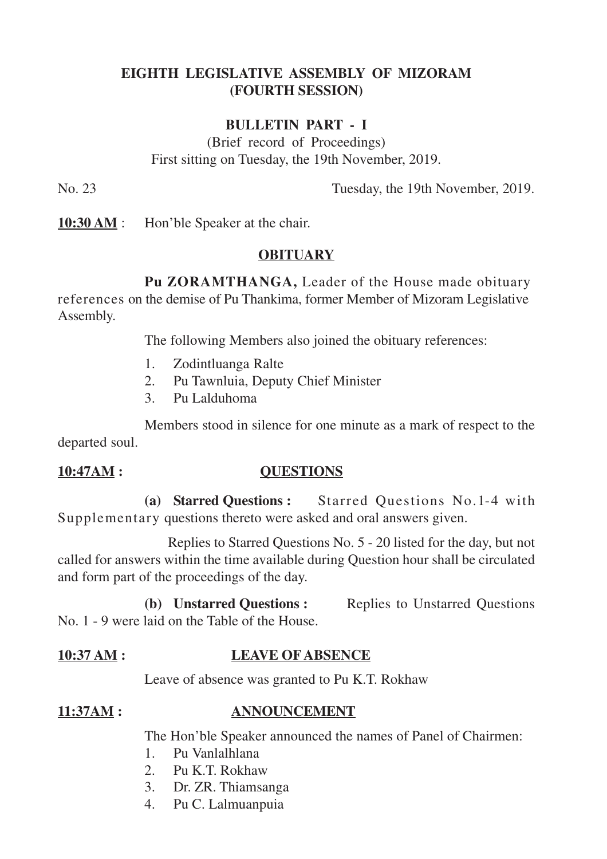# **EIGHTH LEGISLATIVE ASSEMBLY OF MIZORAM (FOURTH SESSION)**

## **BULLETIN PART - I**

(Brief record of Proceedings) First sitting on Tuesday, the 19th November, 2019.

No. 23 Tuesday, the 19th November, 2019.

**10:30 AM** : Hon'ble Speaker at the chair.

## **OBITUARY**

**Pu ZORAMTHANGA,** Leader of the House made obituary

references on the demise of Pu Thankima, former Member of Mizoram Legislative Assembly.

The following Members also joined the obituary references:

- 1. Zodintluanga Ralte
- 2. Pu Tawnluia, Deputy Chief Minister
- 3. Pu Lalduhoma

Members stood in silence for one minute as a mark of respect to the departed soul.

### **10:47AM : QUESTIONS**

**(a) Starred Questions :** Starred Questions No.1-4 with Supplementary questions thereto were asked and oral answers given.

Replies to Starred Questions No. 5 - 20 listed for the day, but not called for answers within the time available during Question hour shall be circulated and form part of the proceedings of the day.

**(b) Unstarred Questions :** Replies to Unstarred Questions No. 1 - 9 were laid on the Table of the House.

### **10:37 AM : LEAVE OF ABSENCE**

Leave of absence was granted to Pu K.T. Rokhaw

### **11:37AM : ANNOUNCEMENT**

The Hon'ble Speaker announced the names of Panel of Chairmen:

- 1. Pu Vanlalhlana
- 2. Pu K.T. Rokhaw
- 3. Dr. ZR. Thiamsanga
- 4. Pu C. Lalmuanpuia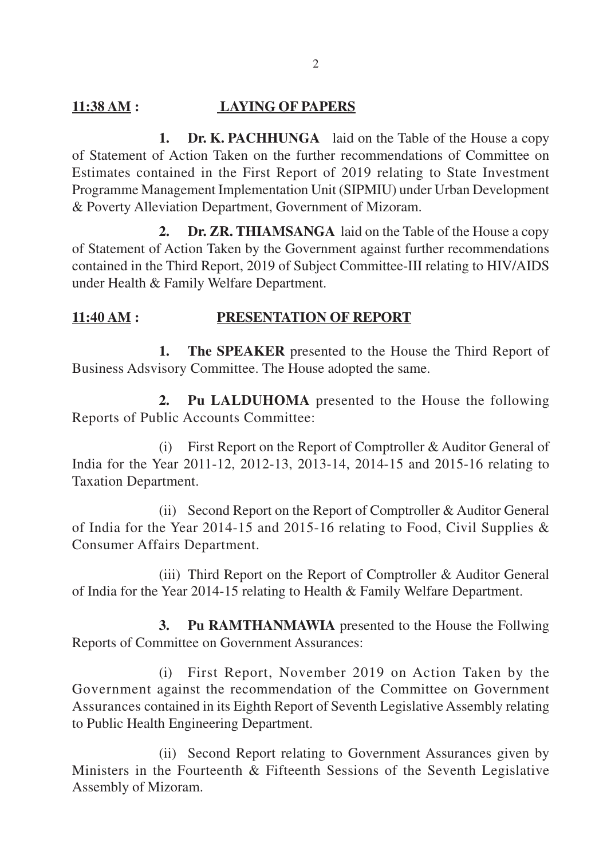# **11:38 AM : LAYING OF PAPERS**

**1. Dr. K. PACHHUNGA** laid on the Table of the House a copy of Statement of Action Taken on the further recommendations of Committee on Estimates contained in the First Report of 2019 relating to State Investment Programme Management Implementation Unit (SIPMIU) under Urban Development & Poverty Alleviation Department, Government of Mizoram.

**2. Dr. ZR. THIAMSANGA** laid on the Table of the House a copy of Statement of Action Taken by the Government against further recommendations contained in the Third Report, 2019 of Subject Committee-III relating to HIV/AIDS under Health & Family Welfare Department.

## **11:40 AM : PRESENTATION OF REPORT**

**1. The SPEAKER** presented to the House the Third Report of Business Adsvisory Committee. The House adopted the same.

**2. Pu LALDUHOMA** presented to the House the following Reports of Public Accounts Committee:

(i) First Report on the Report of Comptroller & Auditor General of India for the Year 2011-12, 2012-13, 2013-14, 2014-15 and 2015-16 relating to Taxation Department.

(ii) Second Report on the Report of Comptroller & Auditor General of India for the Year 2014-15 and 2015-16 relating to Food, Civil Supplies & Consumer Affairs Department.

(iii) Third Report on the Report of Comptroller & Auditor General of India for the Year 2014-15 relating to Health & Family Welfare Department.

**3. Pu RAMTHANMAWIA** presented to the House the Follwing Reports of Committee on Government Assurances:

(i) First Report, November 2019 on Action Taken by the Government against the recommendation of the Committee on Government Assurances contained in its Eighth Report of Seventh Legislative Assembly relating to Public Health Engineering Department.

(ii) Second Report relating to Government Assurances given by Ministers in the Fourteenth & Fifteenth Sessions of the Seventh Legislative Assembly of Mizoram.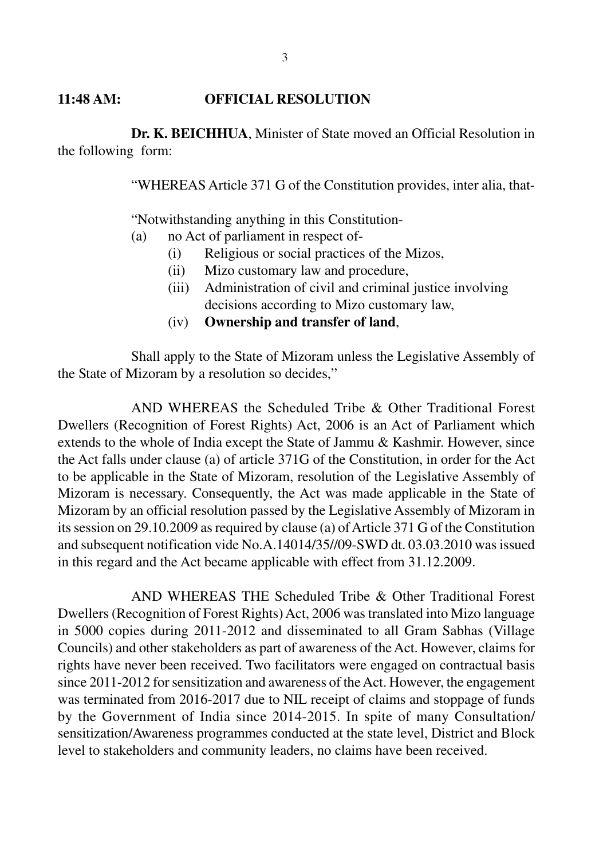### **11:48 AM: OFFICIAL RESOLUTION**

**Dr. K. BEICHHUA**, Minister of State moved an Official Resolution in the following form:

"WHEREAS Article 371 G of the Constitution provides, inter alia, that-

"Notwithstanding anything in this Constitution-

- (a) no Act of parliament in respect of-
	- (i) Religious or social practices of the Mizos,
	- (ii) Mizo customary law and procedure,
	- (iii) Administration of civil and criminal justice involving decisions according to Mizo customary law,
	- (iv) **Ownership and transfer of land**,

Shall apply to the State of Mizoram unless the Legislative Assembly of the State of Mizoram by a resolution so decides,"

AND WHEREAS the Scheduled Tribe & Other Traditional Forest Dwellers (Recognition of Forest Rights) Act, 2006 is an Act of Parliament which extends to the whole of India except the State of Jammu & Kashmir. However, since the Act falls under clause (a) of article 371G of the Constitution, in order for the Act to be applicable in the State of Mizoram, resolution of the Legislative Assembly of Mizoram is necessary. Consequently, the Act was made applicable in the State of Mizoram by an official resolution passed by the Legislative Assembly of Mizoram in its session on 29.10.2009 as required by clause (a) of Article 371 G of the Constitution and subsequent notification vide No.A.14014/35//09-SWD dt. 03.03.2010 was issued in this regard and the Act became applicable with effect from 31.12.2009.

AND WHEREAS THE Scheduled Tribe & Other Traditional Forest Dwellers (Recognition of Forest Rights) Act, 2006 was translated into Mizo language in 5000 copies during 2011-2012 and disseminated to all Gram Sabhas (Village Councils) and other stakeholders as part of awareness of the Act. However, claims for rights have never been received. Two facilitators were engaged on contractual basis since 2011-2012 for sensitization and awareness of the Act. However, the engagement was terminated from 2016-2017 due to NIL receipt of claims and stoppage of funds by the Government of India since 2014-2015. In spite of many Consultation/ sensitization/Awareness programmes conducted at the state level, District and Block level to stakeholders and community leaders, no claims have been received.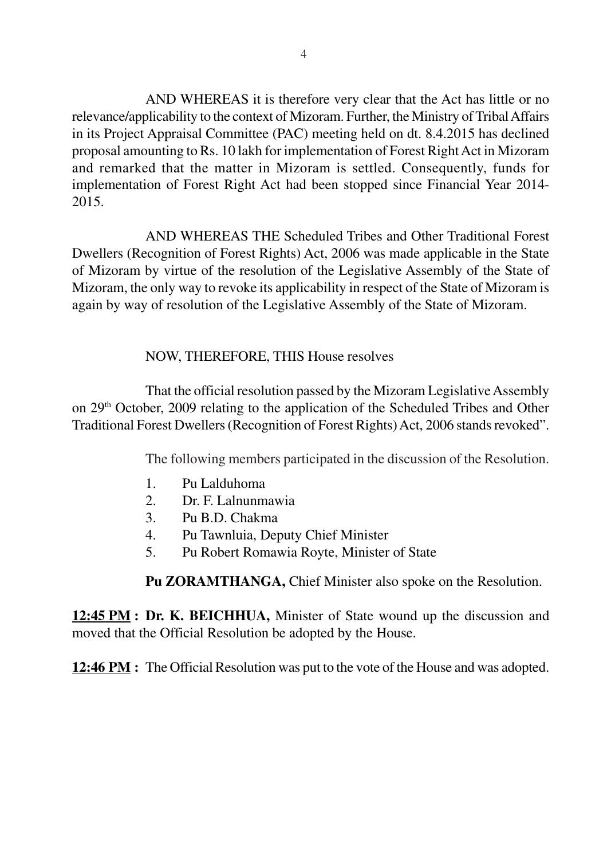AND WHEREAS it is therefore very clear that the Act has little or no relevance/applicability to the context of Mizoram. Further, the Ministry of Tribal Affairs in its Project Appraisal Committee (PAC) meeting held on dt. 8.4.2015 has declined proposal amounting to Rs. 10 lakh for implementation of Forest Right Act in Mizoram and remarked that the matter in Mizoram is settled. Consequently, funds for implementation of Forest Right Act had been stopped since Financial Year 2014- 2015.

AND WHEREAS THE Scheduled Tribes and Other Traditional Forest Dwellers (Recognition of Forest Rights) Act, 2006 was made applicable in the State of Mizoram by virtue of the resolution of the Legislative Assembly of the State of Mizoram, the only way to revoke its applicability in respect of the State of Mizoram is again by way of resolution of the Legislative Assembly of the State of Mizoram.

## NOW, THEREFORE, THIS House resolves

That the official resolution passed by the Mizoram Legislative Assembly on 29th October, 2009 relating to the application of the Scheduled Tribes and Other Traditional Forest Dwellers (Recognition of Forest Rights) Act, 2006 stands revoked".

The following members participated in the discussion of the Resolution.

- 1. Pu Lalduhoma
- 2. Dr. F. Lalnunmawia
- 3. Pu B.D. Chakma
- 4. Pu Tawnluia, Deputy Chief Minister
- 5. Pu Robert Romawia Royte, Minister of State

**Pu ZORAMTHANGA,** Chief Minister also spoke on the Resolution.

**12:45 PM : Dr. K. BEICHHUA,** Minister of State wound up the discussion and moved that the Official Resolution be adopted by the House.

**12:46 PM :** The Official Resolution was put to the vote of the House and was adopted.